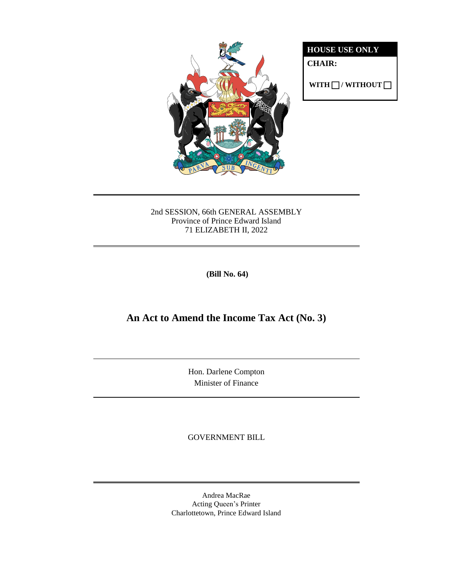

**HOUSE USE ONLY**

**CHAIR:**

 $WITH \Box / WITHOUT \Box$ 

### 2nd SESSION, 66th GENERAL ASSEMBLY Province of Prince Edward Island 71 ELIZABETH II, 2022

**(Bill No. 64)**

# **An Act to Amend the Income Tax Act (No. 3)**

Hon. Darlene Compton Minister of Finance

GOVERNMENT BILL

Andrea MacRae Acting Queen's Printer Charlottetown, Prince Edward Island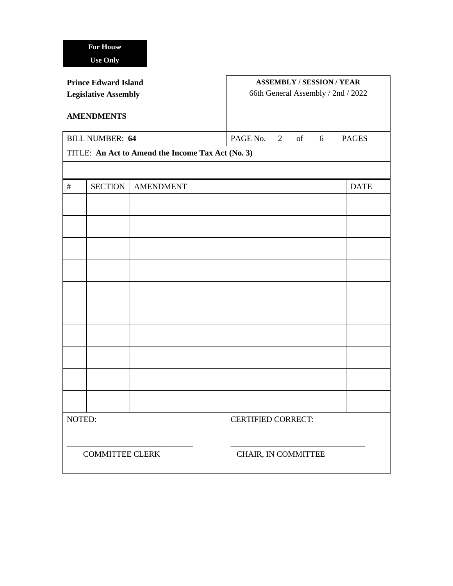| <b>Prince Edward Island</b><br><b>Legislative Assembly</b><br><b>AMENDMENTS</b> |                |                  | <b>ASSEMBLY / SESSION / YEAR</b><br>66th General Assembly / 2nd / 2022 |              |
|---------------------------------------------------------------------------------|----------------|------------------|------------------------------------------------------------------------|--------------|
| <b>BILL NUMBER: 64</b>                                                          |                |                  | PAGE No.<br>2 of 6                                                     | <b>PAGES</b> |
| TITLE: An Act to Amend the Income Tax Act (No. 3)                               |                |                  |                                                                        |              |
|                                                                                 |                |                  |                                                                        |              |
| #                                                                               | <b>SECTION</b> | <b>AMENDMENT</b> |                                                                        | <b>DATE</b>  |
|                                                                                 |                |                  |                                                                        |              |
|                                                                                 |                |                  |                                                                        |              |
|                                                                                 |                |                  |                                                                        |              |
|                                                                                 |                |                  |                                                                        |              |
|                                                                                 |                |                  |                                                                        |              |
|                                                                                 |                |                  |                                                                        |              |
|                                                                                 |                |                  |                                                                        |              |
|                                                                                 |                |                  |                                                                        |              |
|                                                                                 |                |                  |                                                                        |              |
|                                                                                 |                |                  |                                                                        |              |
| NOTED:                                                                          |                |                  | <b>CERTIFIED CORRECT:</b>                                              |              |
| <b>COMMITTEE CLERK</b>                                                          |                |                  | CHAIR, IN COMMITTEE                                                    |              |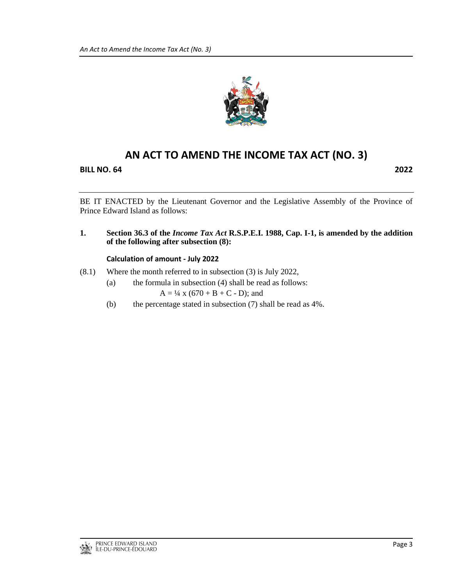

## **AN ACT TO AMEND THE INCOME TAX ACT (NO. 3)**

**BILL NO. 64 2022**

BE IT ENACTED by the Lieutenant Governor and the Legislative Assembly of the Province of Prince Edward Island as follows:

**1. Section 36.3 of the** *Income Tax Act* **R.S.P.E.I. 1988, Cap. I-1, is amended by the addition of the following after subsection (8):**

#### **Calculation of amount - July 2022**

- (8.1) Where the month referred to in subsection (3) is July 2022,
	- (a) the formula in subsection (4) shall be read as follows:  $A = \frac{1}{4}$  x (670 + B + C - D); and
	- (b) the percentage stated in subsection (7) shall be read as 4%.

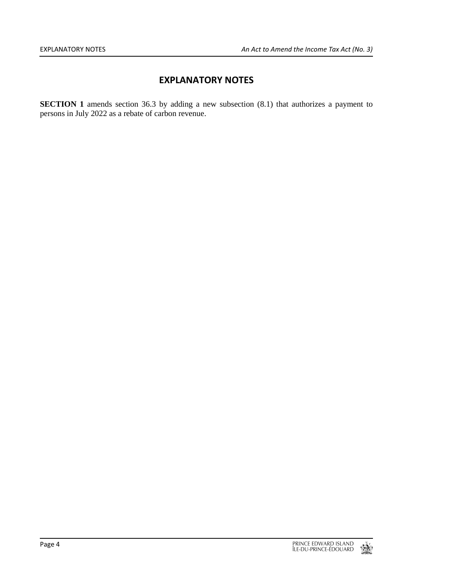### **EXPLANATORY NOTES**

**SECTION 1** amends section 36.3 by adding a new subsection (8.1) that authorizes a payment to persons in July 2022 as a rebate of carbon revenue.